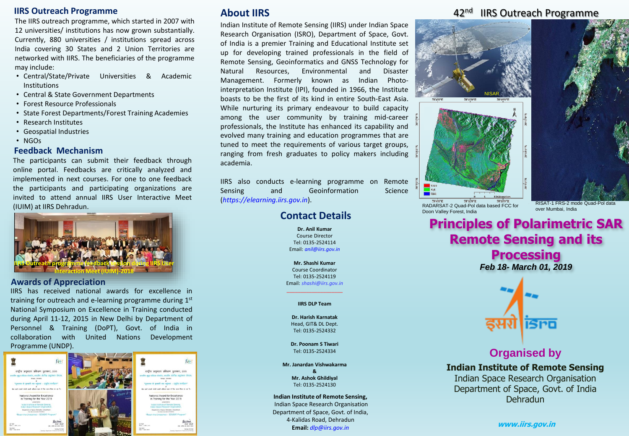#### **IIRS Outreach Programme**

The IIRS outreach programme, which started in 2007 with 12 universities/ institutions has now grown substantially. Currently, 880 universities / institutions spread across India covering 30 States and 2 Union Territories are networked with IIRS. The beneficiaries of the programme may include:

- Central/State/Private Universities & Academic Institutions
- Central & State Government Departments
- Forest Resource Professionals
- State Forest Departments/Forest Training Academies
- Research Institutes
- Geospatial Industries
- NGOs

#### **Feedback Mechanism**

The participants can submit their feedback through online portal. Feedbacks are critically analyzed and implemented in next courses. For one to one feedback the participants and participating organizations are invited to attend annual IIRS User Interactive Meet (IUIM) at IIRS Dehradun.



#### **Awards of Appreciation**

IIRS has received national awards for excellence in training for outreach and e-learning programme during 1st National Symposium on Excellence in Training conducted during April 11-12, 2015 in New Delhi by Department of Personnel & Training (DoPT), Govt. of India in collaboration with United Nations Development Programme (UNDP).



# **About IIRS**

Indian Institute of Remote Sensing (IIRS) under Indian Space Research Organisation (ISRO), Department of Space, Govt. of India is a premier Training and Educational Institute set up for developing trained professionals in the field of Remote Sensing, Geoinformatics and GNSS Technology for Natural Resources, Environmental and Disaster Management. Formerly known as Indian Photointerpretation Institute (IPI), founded in 1966, the Institute boasts to be the first of its kind in entire South-East Asia. While nurturing its primary endeavour to build capacity among the user community by training mid-career professionals, the Institute has enhanced its capability and evolved many training and education programmes that are tuned to meet the requirements of various target groups, ranging from fresh graduates to policy makers including academia.

IIRS also conducts e-learning programme on Remote Sensing and Geoinformation Science (*https://elearning.iirs.gov.in*).

# **Contact Details**

**Dr. Anil Kumar** Course Director Tel: 0135-2524114 Email: *anil@iirs.gov.in*

**Mr. Shashi Kumar** Course Coordinator Tel: 0135-2524119 Email: *shashi@iirs.gov.in*

#### \_\_\_\_\_\_\_\_\_\_\_\_\_\_\_\_\_\_\_\_ **IIRS DLP Team**

**Dr. Harish Karnatak** Head, GIT& DL Dept. Tel: 0135-2524332

**Dr. Poonam S Tiwari** Tel: 0135-2524334

**Mr. Janardan Vishwakarma & Mr. Ashok Ghildiyal** Tel: 0135-2524130

**Indian Institute of Remote Sensing,** Indian Space Research Organisation Department of Space, Govt. of India, 4-Kalidas Road, Dehradun **Email:** *dlp@iirs.gov.in*

# 42<sup>nd</sup> IIRS Outreach Programme



 $78^{\circ}4^{\circ}0^{\circ}1$ 78°11'0"E 78°18'0"E RADARSAT-2 Quad-Pol data based FCC for Doon Valley Forest, India

RISAT-1 FRS-2 mode Quad-Pol data

# **Principles of Polarimetric SAR Remote Sensing and its Processing**

*Feb 18- March 01, 2019*



# **Organised by**

**Indian Institute of Remote Sensing** Indian Space Research Organisation Department of Space, Govt. of India Dehradun

**www.iirs.gov.in**